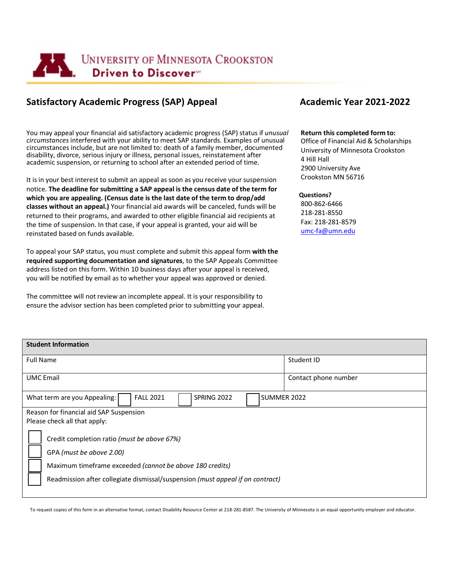

# **Satisfactory Academic Progress (SAP) Appeal <b>Academic Year 2021-2022 Academic Year 2021-2022**

You may appeal your financial aid satisfactory academic progress (SAP) status if *unusual circumstances* interfered with your ability to meet SAP standards. Examples of unusual circumstances include, but are not limited to: death of a family member, documented disability, divorce, serious injury or illness, personal issues, reinstatement after academic suspension, or returning to school after an extended period of time.

It isin your best interest to submit an appeal as soon as you receive your suspension notice. **The deadline for submitting a SAP appeal is the census date of the term for which you are appealing. (Census date is the last date of the term to drop/add classes without an appeal.)** Your financial aid awards will be canceled, funds will be returned to their programs, and awarded to other eligible financial aid recipients at the time of suspension. In that case, if your appeal is granted, your aid will be reinstated based on funds available.

To appeal your SAP status, you must complete and submit this appeal form **with the required supporting documentation and signatures**, to the SAP Appeals Committee address listed on this form. Within 10 business days after your appeal is received, you will be notified by email as to whether your appeal was approved or denied.

The committee will not review an incomplete appeal. It is your responsibility to ensure the advisor section has been completed prior to submitting your appeal.

#### **Return this completed form to:**

Office of Financial Aid & Scholarships University of Minnesota Crookston 4 Hill Hall 2900 University Ave Crookston MN 56716

#### **Questions?**

800-862-6466 218-281-8550 Fax: 218-281-8579 [umc-fa@umn.edu](mailto:umc-fa@umn.edu)

| <b>Student Information</b>                                                     |                      |  |  |
|--------------------------------------------------------------------------------|----------------------|--|--|
| <b>Full Name</b>                                                               | Student ID           |  |  |
| <b>UMC</b> Email                                                               | Contact phone number |  |  |
| <b>FALL 2021</b><br>SPRING 2022<br>SUMMER 2022<br>What term are you Appealing: |                      |  |  |
| Reason for financial aid SAP Suspension                                        |                      |  |  |
| Please check all that apply:                                                   |                      |  |  |
| Credit completion ratio (must be above 67%)                                    |                      |  |  |
| GPA (must be above 2.00)                                                       |                      |  |  |
| Maximum timeframe exceeded (cannot be above 180 credits)                       |                      |  |  |
| Readmission after collegiate dismissal/suspension (must appeal if on contract) |                      |  |  |
|                                                                                |                      |  |  |

To request copies of this form in an alternative format, contact Disability Resource Center at 218-281-8587. The University of Minnesota is an equal opportunity employer and educator.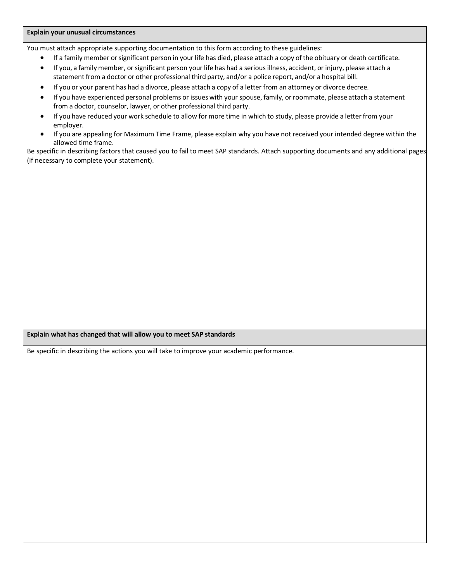### **Explain your unusual circumstances**

You must attach appropriate supporting documentation to this form according to these guidelines:

- If a family member or significant person in your life has died, please attach a copy of the obituary or death certificate.
- If you, a family member, or significant person your life has had a seriousillness, accident, or injury, please attach a statement from a doctor or other professional third party, and/or a police report, and/or a hospital bill.
- If you or your parent has had a divorce, please attach a copy of a letter from an attorney or divorce decree.
- If you have experienced personal problems or issues with your spouse, family, orroommate, please attach a statement from a doctor, counselor, lawyer, or other professional third party.
- If you have reduced your work schedule to allow for more time in which to study, please provide a letter from your employer.
- If you are appealing for Maximum Time Frame, please explain why you have not received your intended degree within the allowed time frame.

Be specific in describing factors that caused you to fail to meet SAP standards. Attach supporting documents and any additional pages (if necessary to complete your statement).

## **Explain what has changed that will allow you to meet SAP standards**

Be specific in describing the actions you will take to improve your academic performance.